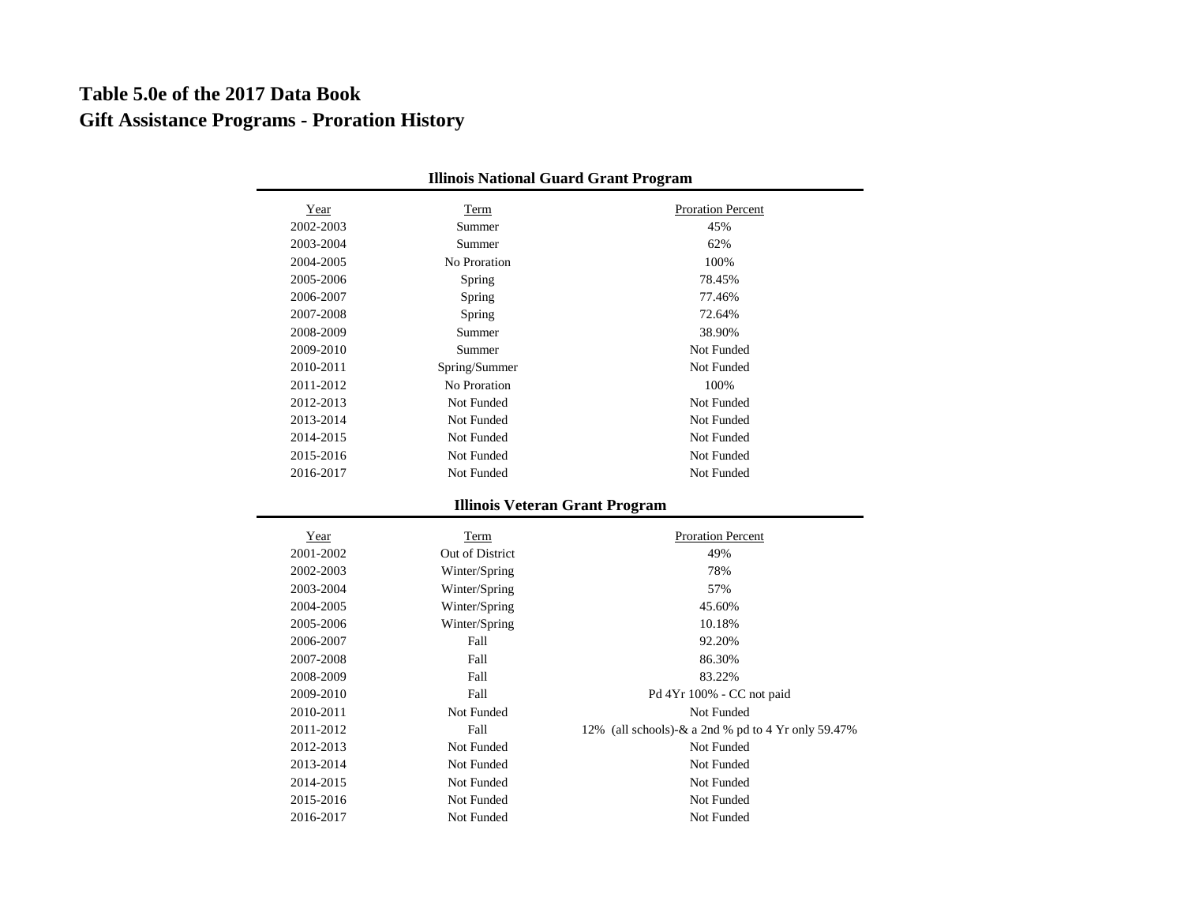## **Gift Assistance Programs - Proration History Table 5.0e of the 2017 Data Book**

٠

| <b>Illinois National Guard Grant Program</b> |                 |                                                    |  |  |
|----------------------------------------------|-----------------|----------------------------------------------------|--|--|
| Year                                         | Term            | Proration Percent                                  |  |  |
| 2002-2003                                    | Summer          | 45%                                                |  |  |
| 2003-2004                                    | Summer          | 62%                                                |  |  |
| 2004-2005                                    | No Proration    | 100%                                               |  |  |
| 2005-2006                                    | Spring          | 78.45%                                             |  |  |
| 2006-2007                                    | Spring          | 77.46%                                             |  |  |
| 2007-2008                                    | Spring          | 72.64%                                             |  |  |
| 2008-2009                                    | Summer          | 38.90%                                             |  |  |
| 2009-2010                                    | Summer          | Not Funded                                         |  |  |
| 2010-2011                                    | Spring/Summer   | Not Funded                                         |  |  |
| 2011-2012                                    | No Proration    | 100%                                               |  |  |
| 2012-2013                                    | Not Funded      | Not Funded                                         |  |  |
| 2013-2014                                    | Not Funded      | Not Funded                                         |  |  |
| 2014-2015                                    | Not Funded      | Not Funded                                         |  |  |
| 2015-2016                                    | Not Funded      | Not Funded                                         |  |  |
| 2016-2017                                    | Not Funded      | Not Funded                                         |  |  |
|                                              |                 | <b>Illinois Veteran Grant Program</b>              |  |  |
|                                              |                 |                                                    |  |  |
| Year                                         | Term            | <b>Proration Percent</b>                           |  |  |
| 2001-2002                                    | Out of District | 49%                                                |  |  |
| 2002-2003                                    | Winter/Spring   | 78%                                                |  |  |
| 2003-2004                                    | Winter/Spring   | 57%                                                |  |  |
| 2004-2005                                    | Winter/Spring   | 45.60%                                             |  |  |
| 2005-2006                                    | Winter/Spring   | 10.18%                                             |  |  |
| 2006-2007                                    | Fall            | 92.20%                                             |  |  |
| 2007-2008                                    | Fall            | 86.30%                                             |  |  |
| 2008-2009                                    | Fall            | 83.22%                                             |  |  |
| 2009-2010                                    | Fall            | Pd 4Yr 100% - CC not paid                          |  |  |
| 2010-2011                                    | Not Funded      | Not Funded                                         |  |  |
| 2011-2012                                    | Fall            | 12% (all schools)-& a 2nd % pd to 4 Yr only 59.47% |  |  |
| 2012-2013                                    | Not Funded      | Not Funded                                         |  |  |
| 2013-2014                                    | Not Funded      | Not Funded                                         |  |  |
| 2014-2015                                    | Not Funded      | Not Funded                                         |  |  |
| 2015-2016                                    | Not Funded      | Not Funded                                         |  |  |
| 2016-2017                                    | Not Funded      | Not Funded                                         |  |  |